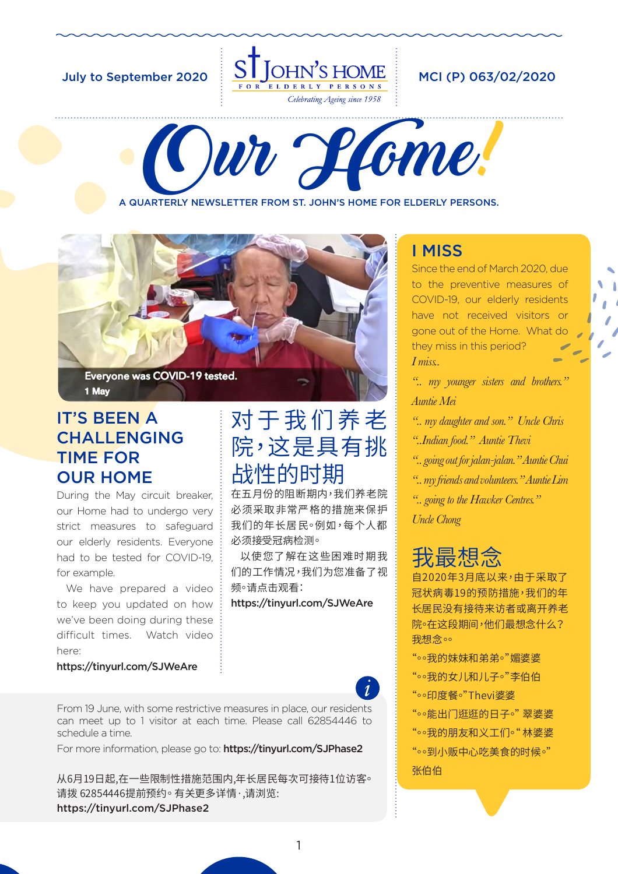

Our Home!

A QUARTERLY NEWSLETTER FROM ST. JOHN'S HOME FOR ELDERLY PERSONS.



### IT'S BEEN A CHALLENGING TIME FOR OUR HOME

During the May circuit breaker, our Home had to undergo very strict measures to safeguard our elderly residents. Everyone had to be tested for COVID-19, for example.

We have prepared a video to keep you updated on how we've been doing during these difficult times. Watch video here:

https://tinyurl.com/SJWeAre

# 对于我们养老 院,这是具有挑 战性的时期

在五月份的阻断期内,我们养老院 必须采取非常严格的措施来保护 我们的年长居民。例如,每个人都 必须接受冠病检测。

以使您了解在这些困难时期我 们的工作情况,我们为您准备了视 频。请点击观看:

https://tinyurl.com/SJWeAre

From 19 June, with some restrictive measures in place, our residents can meet up to 1 visitor at each time. Please call 62854446 to schedule a time.

For more information, please go to: https://tinyurl.com/SJPhase2

从6月19日起,在一些限制性措施范围内,年长居民每次可接待1位访客。 请拨 62854446提前预约。有关更多详情,请浏览: https://tinyurl.com/SJPhase2

## I MISS

Since the end of March 2020, due to the preventive measures of COVID-19, our elderly residents have not received visitors or gone out of the Home. What do they miss in this period? *I miss..*

*".. my younger sisters and brothers." Auntie Mei*

*".. my daughter and son." Uncle Chris*

*"..Indian food." Auntie Thevi*

- *".. going out for jalan-jalan." Auntie Chui*
- *".. my friends and volunteers." Auntie Lim*
- *".. going to the Hawker Centres."*

*Uncle Chong*

# 我最想念

自2020年3月底以来,由于采取了 冠状病毒19的预防措施,我们的年 长居民没有接待来访者或离开养老 院。在这段期间,他们最想念什么? 我想念。

"。。我的妹妹和弟弟。"媚婆婆 "。。我的女儿和儿子。"李伯伯

"。○印度餐。"Thevi婆婆

"。。能出门逛逛的日子。"翠婆婆

"。。我的朋友和义工们。"林婆婆 "。。到小贩中心吃美食的时候。" 张伯伯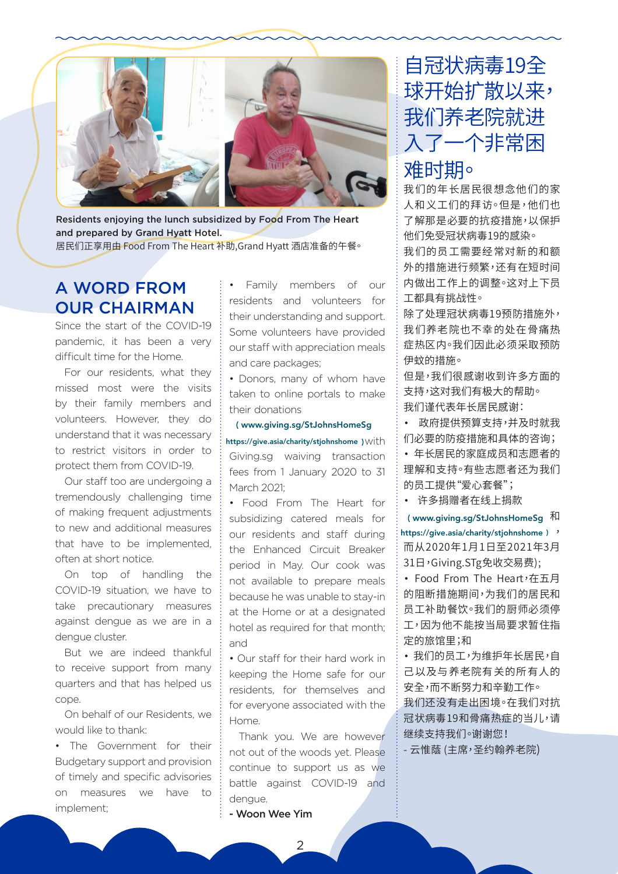

Residents enjoying the lunch subsidized by Food From The Heart and prepared by Grand Hyatt Hotel. 居民们正享用由 Food From The Heart 补助, Grand Hyatt 酒店准备的午餐。

## **A WORD FROM OUR CHAIRMAN**

Since the start of the COVID-19 pandemic, it has been a very difficult time for the Home.

For our residents, what they missed most were the visits by their family members and volunteers. However, they do understand that it was necessary to restrict visitors in order to protect them from COVID-19.

Our staff too are undergoing a tremendously challenging time of making frequent adjustments to new and additional measures that have to be implemented. often at short notice.

On top of handling the COVID-19 situation, we have to take precautionary measures against dengue as we are in a dengue cluster.

But we are indeed thankful to receive support from many quarters and that has helped us cope.

On behalf of our Residents, we would like to thank:

. The Government for their Budgetary support and provision of timely and specific advisories measures we have to  $\cap$ implement;

Family members of our residents and volunteers for their understanding and support. Some volunteers have provided our staff with appreciation meals and care packages:

• Donors, many of whom have taken to online portals to make their donations

#### (www.giving.sg/StJohnsHomeSg

https://give.asia/charity/stjohnshome ) with Giving.sg waiving transaction fees from 1 January 2020 to 31 March 2021<sup>.</sup>

• Food From The Heart for subsidizing catered meals for our residents and staff during the Enhanced Circuit Breaker period in May. Our cook was not available to prepare meals because he was unable to stay-in at the Home or at a designated hotel as required for that month; and

• Our staff for their hard work in keeping the Home safe for our residents, for themselves and for everyone associated with the Home.

Thank you. We are however not out of the woods yet. Please continue to support us as we battle against COVID-19 and dengue.

#### - Woon Wee Yim

# 自冠状病毒19全 球开始扩散以来, 我们养老院就进 入了一个非常困 难时期。

我们的年长居民很想念他们的家 人和义工们的拜访。但是,他们也 了解那是必要的抗疫措施,以保护 他们免受冠状病毒19的感染。 我们的员工需要经常对新的和额

外的措施进行频繁,还有在短时间 内做出工作上的调整。这对上下员 工都具有挑战性。

除了处理冠状病毒19预防措施外, 我们养老院也不幸的处在骨痛热 症热区内。我们因此必须采取预防 伊蚊的措施。

但是,我们很感谢收到许多方面的 支持,这对我们有极大的帮助。 我们谨代表年长居民感谢:

• 政府提供预算支持,并及时就我 们必要的防疫措施和具体的咨询;

• 年长居民的家庭成员和志愿者的 理解和支持。有些志愿者还为我们 的员工提供"爱心套餐";

• 许多捐赠者在线上捐款

(www.giving.sg/StJohnsHomeSg 和 https://give.asia/charity/stjohnshome) ' 而从2020年1月1日至2021年3月 31日,Giving.STg免收交易费);

• Food From The Heart, 在五月 的阻断措施期间,为我们的居民和 员工补助餐饮。我们的厨师必须停 工,因为他不能按当局要求暂住指 定的旅馆里;和

• 我们的员工,为维护年长居民,自 己以及与养老院有关的所有人的 安全,而不断努力和辛勤工作。 我们还没有走出困境。在我们对抗 冠状病毒19和骨痛热症的当儿,请 继续支持我们。谢谢您!

- 云惟蔭 (主席,圣约翰养老院)

 $\overline{2}$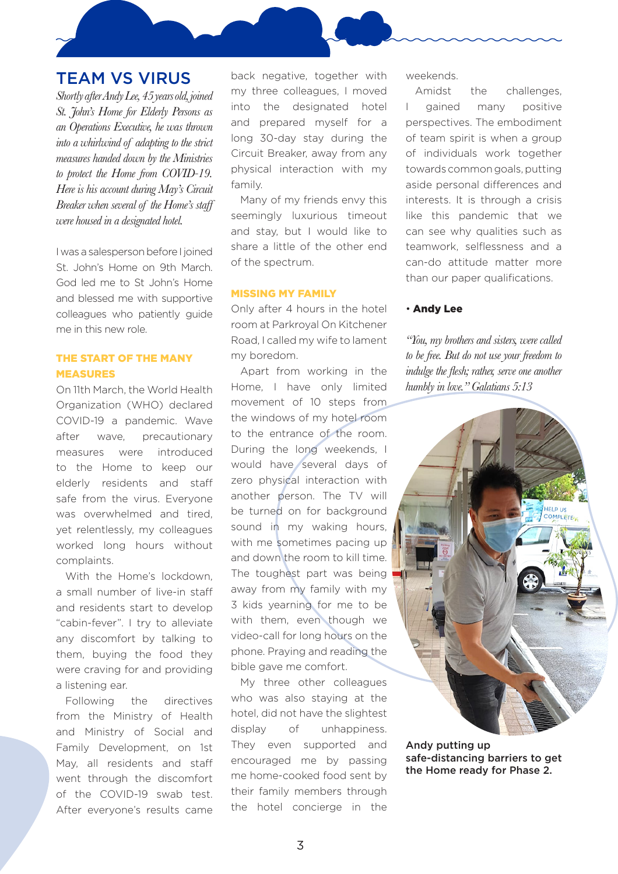### TEAM VS VIRUS

*Shortly after Andy Lee, 45 years old, joined St. John's Home for Elderly Persons as an Operations Executive, he was thrown into a whirlwind of adapting to the strict measures handed down by the Ministries to protect the Home from COVID-19. Here is his account during May's Circuit Breaker when several of the Home's staff were housed in a designated hotel.*

I was a salesperson before I joined St. John's Home on 9th March. God led me to St John's Home and blessed me with supportive colleagues who patiently guide me in this new role.

### THE START OF THE MANY MEASURES

On 11th March, the World Health Organization (WHO) declared COVID-19 a pandemic. Wave after wave, precautionary measures were introduced to the Home to keep our elderly residents and staff safe from the virus. Everyone was overwhelmed and tired, yet relentlessly, my colleagues worked long hours without complaints.

With the Home's lockdown, a small number of live-in staff and residents start to develop "cabin-fever". I try to alleviate any discomfort by talking to them, buying the food they were craving for and providing a listening ear.

Following the directives from the Ministry of Health and Ministry of Social and Family Development, on 1st May, all residents and staff went through the discomfort of the COVID-19 swab test. After everyone's results came back negative, together with my three colleagues, I moved into the designated hotel and prepared myself for a long 30-day stay during the Circuit Breaker, away from any physical interaction with my family.

Many of my friends envy this seemingly luxurious timeout and stay, but I would like to share a little of the other end of the spectrum.

#### MISSING MY FAMILY

Only after 4 hours in the hotel room at Parkroyal On Kitchener Road, I called my wife to lament my boredom.

Apart from working in the Home, I have only limited movement of 10 steps from the windows of my hotel room to the entrance of the room. During the long weekends, I would have several days of zero physical interaction with another person. The TV will be turned on for background sound in my waking hours, with me sometimes pacing up and down the room to kill time. The toughest part was being away from my family with my 3 kids yearning for me to be with them, even though we video-call for long hours on the phone. Praying and reading the bible gave me comfort.

My three other colleagues who was also staying at the hotel, did not have the slightest display of unhappiness. They even supported and encouraged me by passing me home-cooked food sent by their family members through the hotel concierge in the weekends.

Amidst the challenges, I gained many positive perspectives. The embodiment of team spirit is when a group of individuals work together towards common goals, putting aside personal differences and interests. It is through a crisis like this pandemic that we can see why qualities such as teamwork, selflessness and a can-do attitude matter more than our paper qualifications.

#### • Andy Lee

*"You, my brothers and sisters, were called to be free. But do not use your freedom to indulge the flesh; rather, serve one another humbly in love." Galatians 5:13*



Andy putting up safe-distancing barriers to get the Home ready for Phase 2.